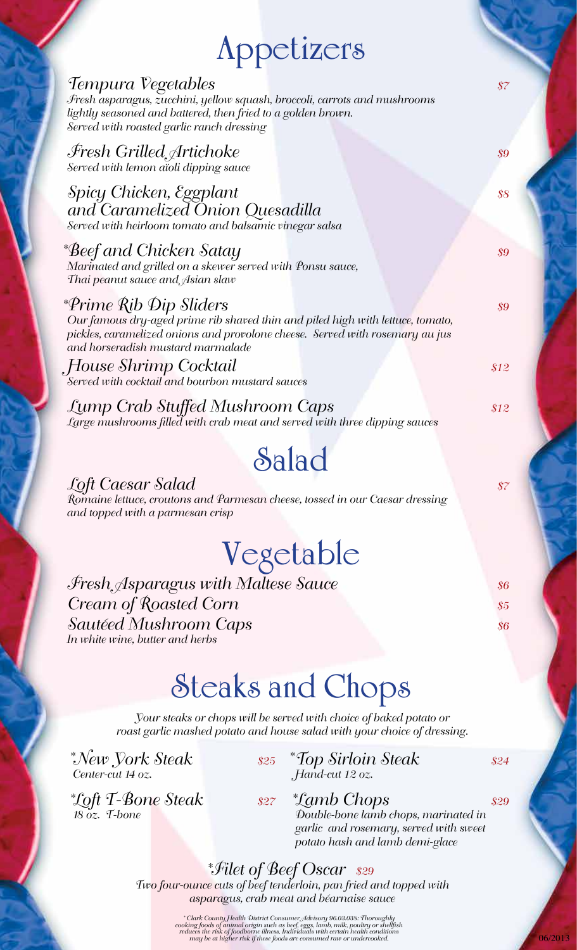# **Appetizers**

| IPPULIZUIS                                                                                                                                                                                                                     |                                                    |
|--------------------------------------------------------------------------------------------------------------------------------------------------------------------------------------------------------------------------------|----------------------------------------------------|
| Tempura Vegetables<br>Fresh asparagus, zucchini, yellow squash, broccoli, carrots and mushrooms<br>lightly seasoned and battered, then fried to a golden brown.<br>Served with roasted garlic ranch dressing                   | $\$7$                                              |
| Fresh Grilled, Artichoke<br>Served with lemon aïoli dipping sauce                                                                                                                                                              | \$9                                                |
| Spicy Chicken, Eggplant<br>and Caramelized Onion Quesadilla<br>Served with heirloom tomato and balsamic vinegar salsa                                                                                                          | $\frac{1}{88}$                                     |
| *Beef and Chicken Satay<br>Marinated and grilled on a skewer served with Ponsu sauce,<br>Thai peanut sauce and $\mathcal{A}$ sian slaw                                                                                         | \$9                                                |
| *Prime Rib Dip Sliders<br>Our famous dry-aged prime rib shaved thin and piled high with lettuce, tomato,<br>pickles, caramelized onions and provolone cheese. Served with rosemary au jus<br>and horseradish mustard marmalade | $\boldsymbol{\mathcal{S}}\boldsymbol{\mathcal{G}}$ |
| .House Shrimp Cocktail<br>Served with cocktail and bourbon mustard sauces                                                                                                                                                      | \$12                                               |
| Lump Crab Stuffed Mushroom Caps<br>Large mushrooms filled with crab meat and served with three dipping sauces                                                                                                                  | \$12                                               |
| Salad                                                                                                                                                                                                                          |                                                    |
| Loft Caesar Salad<br>Romaine lettuce, croutons and Parmesan cheese, tossed in our Caesar dressing<br>and topped with a parmesan crisp                                                                                          | $\sqrt{37}$                                        |
| Vegetable                                                                                                                                                                                                                      |                                                    |
| Fresh Asparagus with Maltese Sauce                                                                                                                                                                                             | $\sqrt{36}$                                        |
| Cream of Roasted Corn                                                                                                                                                                                                          | $\sqrt{35}$                                        |
| <i>Sautéed Mushroom Caps</i><br>In white wine, butter and herbs                                                                                                                                                                | \$6                                                |
| <b>Steaks and Chops</b>                                                                                                                                                                                                        |                                                    |
| Your steaks or chops will be served with choice of baked potato or<br>roast garlic mashed potato and house salad with your choice of dressing.                                                                                 |                                                    |
| *New York Steak<br>\$25 *Top Sirloin Steak                                                                                                                                                                                     | \$24                                               |

*Center-cut 14 oz. Hand-cut 12 oz.*

06/2013

\*Loft T-Bone Steak s27<br>18 oz. I-bone

*Loft T-Bone Steak \$27 Lamb Chops \$29 18 oz. T-bone Double-bone lamb chops, marinated in garlic and rosemary, served with sweet potato hash and lamb demi-glace*

> *Filet of Beef Oscar \$29 Two four-ounce cuts of beef tenderloin, pan fried and topped with asparagus, crab meat and béarnaise sauce* \*

> > Clark County, Health District Consumer Advisory 96.03.038: Thoroughly "<br>cooking foods of animal origin such as beef, eggs, lamb, milk, poultry or shellfish<br>reduces the risk of foodborne illness. Individuals with certain he